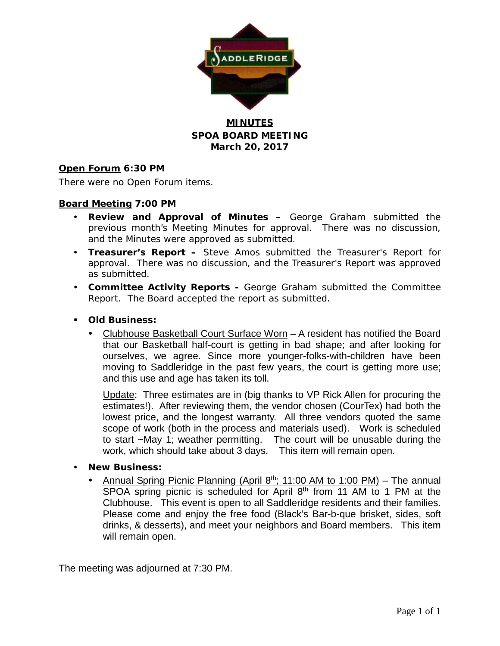

## **MINUTES SPOA BOARD MEETING March 20, 2017**

### **Open Forum 6:30 PM**

There were no Open Forum items.

### **Board Meeting 7:00 PM**

- **Review and Approval of Minutes –** George Graham submitted the previous month's Meeting Minutes for approval. There was no discussion, and the Minutes were approved as submitted.
- **Treasurer's Report –** Steve Amos submitted the Treasurer's Report for approval. There was no discussion, and the Treasurer's Report was approved as submitted.
- **Committee Activity Reports -** George Graham submitted the Committee Report. The Board accepted the report as submitted.
- **Old Business:**
	- Clubhouse Basketball Court Surface Worn A resident has notified the Board that our Basketball half-court is getting in bad shape; and after looking for ourselves, we agree. Since more younger-folks-with-children have been moving to Saddleridge in the past few years, the court is getting more use; and this use and age has taken its toll.

Update: Three estimates are in (big thanks to VP Rick Allen for procuring the estimates!). After reviewing them, the vendor chosen (CourTex) had both the lowest price, and the longest warranty. All three vendors quoted the same scope of work (both in the process and materials used). Work is scheduled to start ~May 1; weather permitting. The court will be unusable during the work, which should take about 3 days. This item will remain open.

- **New Business:**
	- Annual Spring Picnic Planning (April  $8<sup>th</sup>$ ; 11:00 AM to 1:00 PM) The annual SPOA spring picnic is scheduled for April 8<sup>th</sup> from 11 AM to 1 PM at the Clubhouse. This event is open to all Saddleridge residents and their families. Please come and enjoy the free food (Black's Bar-b-que brisket, sides, soft drinks, & desserts), and meet your neighbors and Board members. This item will remain open.

The meeting was adjourned at 7:30 PM.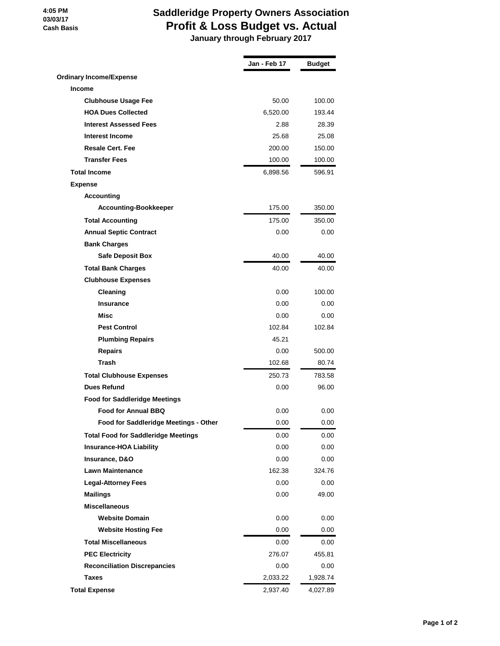#### **4:05 PM 03/03/17 Cash Basis**

# **Saddleridge Property Owners Association Profit & Loss Budget vs. Actual**

 **January through February 2017**

|                                            | Jan - Feb 17 | <b>Budget</b> |
|--------------------------------------------|--------------|---------------|
| <b>Ordinary Income/Expense</b>             |              |               |
| <b>Income</b>                              |              |               |
| <b>Clubhouse Usage Fee</b>                 | 50.00        | 100.00        |
| <b>HOA Dues Collected</b>                  | 6,520.00     | 193.44        |
| <b>Interest Assessed Fees</b>              | 2.88         | 28.39         |
| <b>Interest Income</b>                     | 25.68        | 25.08         |
| <b>Resale Cert. Fee</b>                    | 200.00       | 150.00        |
| <b>Transfer Fees</b>                       | 100.00       | 100.00        |
| <b>Total Income</b>                        | 6,898.56     | 596.91        |
| <b>Expense</b>                             |              |               |
| <b>Accounting</b>                          |              |               |
| <b>Accounting-Bookkeeper</b>               | 175.00       | 350.00        |
| <b>Total Accounting</b>                    | 175.00       | 350.00        |
| <b>Annual Septic Contract</b>              | 0.00         | 0.00          |
| <b>Bank Charges</b>                        |              |               |
| <b>Safe Deposit Box</b>                    | 40.00        | 40.00         |
| <b>Total Bank Charges</b>                  | 40.00        | 40.00         |
| <b>Clubhouse Expenses</b>                  |              |               |
| Cleaning                                   | 0.00         | 100.00        |
| <b>Insurance</b>                           | 0.00         | 0.00          |
| Misc                                       | 0.00         | 0.00          |
| <b>Pest Control</b>                        | 102.84       | 102.84        |
| <b>Plumbing Repairs</b>                    | 45.21        |               |
| <b>Repairs</b>                             | 0.00         | 500.00        |
| <b>Trash</b>                               | 102.68       | 80.74         |
| <b>Total Clubhouse Expenses</b>            | 250.73       | 783.58        |
| <b>Dues Refund</b>                         | 0.00         | 96.00         |
| <b>Food for Saddleridge Meetings</b>       |              |               |
| <b>Food for Annual BBQ</b>                 | 0.00         | 0.00          |
| Food for Saddleridge Meetings - Other      | 0.00         | 0.00          |
| <b>Total Food for Saddleridge Meetings</b> | 0.00         | 0.00          |
| <b>Insurance-HOA Liability</b>             | 0.00         | 0.00          |
| Insurance, D&O                             | 0.00         | 0.00          |
| <b>Lawn Maintenance</b>                    | 162.38       | 324.76        |
| <b>Legal-Attorney Fees</b>                 | 0.00         | 0.00          |
| <b>Mailings</b>                            | 0.00         | 49.00         |
| <b>Miscellaneous</b>                       |              |               |
| <b>Website Domain</b>                      | 0.00         | 0.00          |
| <b>Website Hosting Fee</b>                 | 0.00         | 0.00          |
| <b>Total Miscellaneous</b>                 | 0.00         | 0.00          |
| <b>PEC Electricity</b>                     | 276.07       | 455.81        |
| <b>Reconciliation Discrepancies</b>        | 0.00         | 0.00          |
| Taxes                                      | 2,033.22     | 1,928.74      |
| <b>Total Expense</b>                       | 2,937.40     | 4,027.89      |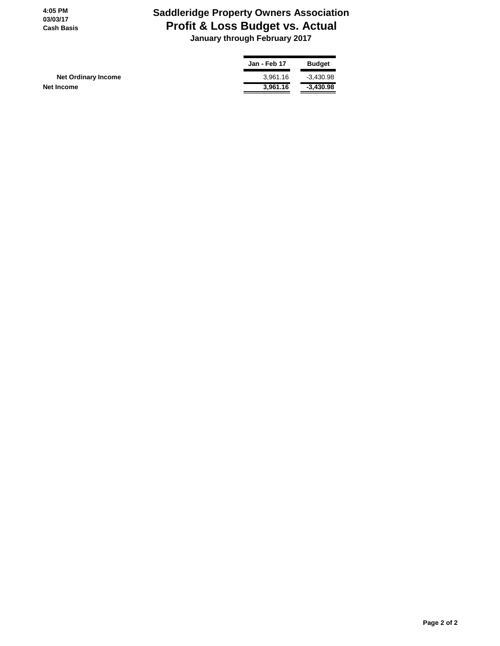**4:05 PM 03/03/17 Cash Basis**

# **Saddleridge Property Owners Association Profit & Loss Budget vs. Actual**

 **January through February 2017**

|                            | <b>Jan - Feb 17</b> | <b>Budget</b> |
|----------------------------|---------------------|---------------|
| <b>Net Ordinary Income</b> | 3.961.16            | $-3.430.98$   |
| Net Income                 | 3.961.16            | $-3.430.98$   |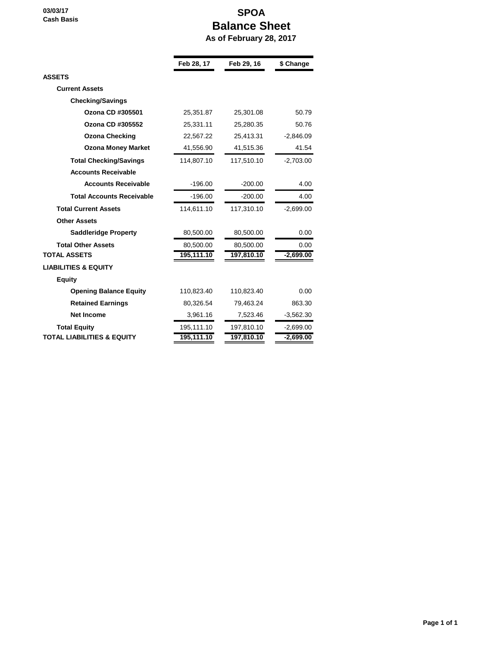**03/03/17 Cash Basis**

# **SPOA Balance Sheet As of February 28, 2017**

|                                       | Feb 28, 17 | Feb 29, 16 | \$ Change   |
|---------------------------------------|------------|------------|-------------|
| <b>ASSETS</b>                         |            |            |             |
| <b>Current Assets</b>                 |            |            |             |
| <b>Checking/Savings</b>               |            |            |             |
| Ozona CD #305501                      | 25,351.87  | 25,301.08  | 50.79       |
| Ozona CD #305552                      | 25,331.11  | 25,280.35  | 50.76       |
| <b>Ozona Checking</b>                 | 22,567.22  | 25,413.31  | $-2,846.09$ |
| <b>Ozona Money Market</b>             | 41,556.90  | 41,515.36  | 41.54       |
| <b>Total Checking/Savings</b>         | 114,807.10 | 117,510.10 | $-2,703.00$ |
| <b>Accounts Receivable</b>            |            |            |             |
| <b>Accounts Receivable</b>            | $-196.00$  | $-200.00$  | 4.00        |
| <b>Total Accounts Receivable</b>      | $-196.00$  | $-200.00$  | 4.00        |
| <b>Total Current Assets</b>           | 114,611.10 | 117,310.10 | $-2,699.00$ |
| <b>Other Assets</b>                   |            |            |             |
| <b>Saddleridge Property</b>           | 80,500.00  | 80,500.00  | 0.00        |
| <b>Total Other Assets</b>             | 80,500.00  | 80,500.00  | 0.00        |
| <b>TOTAL ASSETS</b>                   | 195,111.10 | 197,810.10 | $-2,699.00$ |
| <b>LIABILITIES &amp; EQUITY</b>       |            |            |             |
| <b>Equity</b>                         |            |            |             |
| <b>Opening Balance Equity</b>         | 110,823.40 | 110,823.40 | 0.00        |
| <b>Retained Earnings</b>              | 80,326.54  | 79,463.24  | 863.30      |
| <b>Net Income</b>                     | 3,961.16   | 7,523.46   | $-3,562.30$ |
| <b>Total Equity</b>                   | 195,111.10 | 197,810.10 | $-2,699.00$ |
| <b>TOTAL LIABILITIES &amp; EQUITY</b> | 195,111.10 | 197,810.10 | $-2,699.00$ |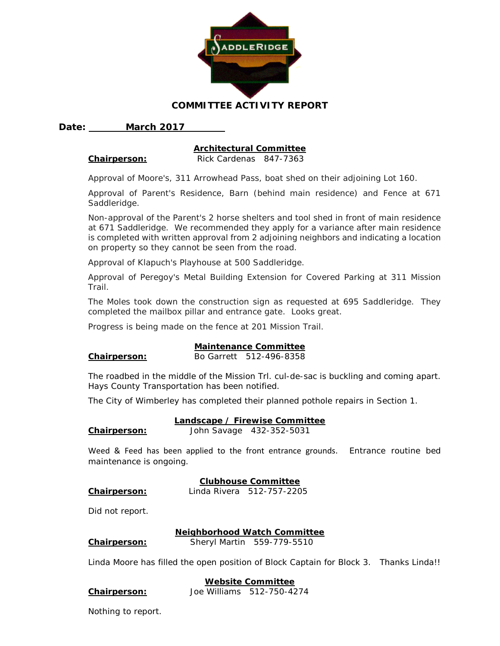

#### **COMMITTEE ACTIVITY REPORT**

#### **Date: March 2017**

#### **Architectural Committee**

**Chairperson:** Rick Cardenas 847-7363

Approval of Moore's, 311 Arrowhead Pass, boat shed on their adjoining Lot 160.

Approval of Parent's Residence, Barn (behind main residence) and Fence at 671 Saddleridge.

Non-approval of the Parent's 2 horse shelters and tool shed in front of main residence at 671 Saddleridge. We recommended they apply for a variance after main residence is completed with written approval from 2 adjoining neighbors and indicating a location on property so they cannot be seen from the road.

Approval of Klapuch's Playhouse at 500 Saddleridge.

Approval of Peregoy's Metal Building Extension for Covered Parking at 311 Mission Trail.

The Moles took down the construction sign as requested at 695 Saddleridge. They completed the mailbox pillar and entrance gate. Looks great.

Progress is being made on the fence at 201 Mission Trail.

#### **Maintenance Committee**

# **Chairperson:** Bo Garrett 512-496-8358

The roadbed in the middle of the Mission Trl. cul-de-sac is buckling and coming apart. Hays County Transportation has been notified.

The City of Wimberley has completed their planned pothole repairs in Section 1.

#### **Landscape / Firewise Committee**

| Chairperson: |  | John Savage 432-352-5031 |
|--------------|--|--------------------------|
|--------------|--|--------------------------|

Weed & Feed has been applied to the front entrance grounds. Entrance routine bed maintenance is ongoing.

#### **Clubhouse Committee**

**Chairperson:** Linda Rivera 512-757-2205

Did not report.

#### **Neighborhood Watch Committee**

**Chairperson:** Sheryl Martin 559-779-5510

Linda Moore has filled the open position of Block Captain for Block 3. Thanks Linda!!

#### **Website Committee**

Nothing to report.